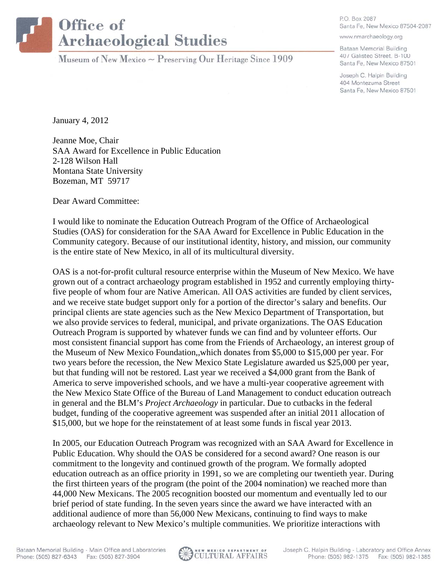## Office of **Archaeological Studies**

Museum of New Mexico  $\sim$  Preserving Our Heritage Since 1909

P.O. Box 2087 Santa Fe, New Mexico 87504-2087

www.nmarchaeology.org

Bataan Memorial Building 407 Galisteo Street, B-100 Santa Fe, New Mexico 87501

Joseph C. Halpin Building 404 Montezuma Street Santa Fe, New Mexico 87501

January 4, 2012

Jeanne Moe, Chair SAA Award for Excellence in Public Education 2-128 Wilson Hall Montana State University Bozeman, MT 59717

Dear Award Committee:

I would like to nominate the Education Outreach Program of the Office of Archaeological Studies (OAS) for consideration for the SAA Award for Excellence in Public Education in the Community category. Because of our institutional identity, history, and mission, our community is the entire state of New Mexico, in all of its multicultural diversity.

OAS is a not-for-profit cultural resource enterprise within the Museum of New Mexico. We have grown out of a contract archaeology program established in 1952 and currently employing thirtyfive people of whom four are Native American. All OAS activities are funded by client services, and we receive state budget support only for a portion of the director's salary and benefits. Our principal clients are state agencies such as the New Mexico Department of Transportation, but we also provide services to federal, municipal, and private organizations. The OAS Education Outreach Program is supported by whatever funds we can find and by volunteer efforts. Our most consistent financial support has come from the Friends of Archaeology, an interest group of the Museum of New Mexico Foundation,,which donates from \$5,000 to \$15,000 per year. For two years before the recession, the New Mexico State Legislature awarded us \$25,000 per year, but that funding will not be restored. Last year we received a \$4,000 grant from the Bank of America to serve impoverished schools, and we have a multi-year cooperative agreement with the New Mexico State Office of the Bureau of Land Management to conduct education outreach in general and the BLM's *Project Archaeology* in particular. Due to cutbacks in the federal budget, funding of the cooperative agreement was suspended after an initial 2011 allocation of \$15,000, but we hope for the reinstatement of at least some funds in fiscal year 2013.

In 2005, our Education Outreach Program was recognized with an SAA Award for Excellence in Public Education. Why should the OAS be considered for a second award? One reason is our commitment to the longevity and continued growth of the program. We formally adopted education outreach as an office priority in 1991, so we are completing our twentieth year. During the first thirteen years of the program (the point of the 2004 nomination) we reached more than 44,000 New Mexicans. The 2005 recognition boosted our momentum and eventually led to our brief period of state funding. In the seven years since the award we have interacted with an additional audience of more than 56,000 New Mexicans, continuing to find ways to make archaeology relevant to New Mexico's multiple communities. We prioritize interactions with

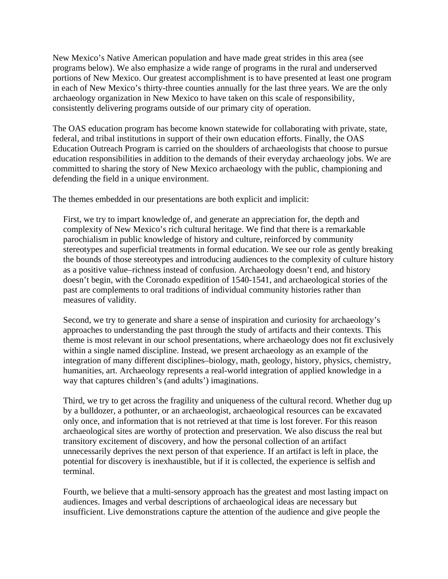New Mexico's Native American population and have made great strides in this area (see programs below). We also emphasize a wide range of programs in the rural and underserved portions of New Mexico. Our greatest accomplishment is to have presented at least one program in each of New Mexico's thirty-three counties annually for the last three years. We are the only archaeology organization in New Mexico to have taken on this scale of responsibility, consistently delivering programs outside of our primary city of operation.

The OAS education program has become known statewide for collaborating with private, state, federal, and tribal institutions in support of their own education efforts. Finally, the OAS Education Outreach Program is carried on the shoulders of archaeologists that choose to pursue education responsibilities in addition to the demands of their everyday archaeology jobs. We are committed to sharing the story of New Mexico archaeology with the public, championing and defending the field in a unique environment.

The themes embedded in our presentations are both explicit and implicit:

First, we try to impart knowledge of, and generate an appreciation for, the depth and complexity of New Mexico's rich cultural heritage. We find that there is a remarkable parochialism in public knowledge of history and culture, reinforced by community stereotypes and superficial treatments in formal education. We see our role as gently breaking the bounds of those stereotypes and introducing audiences to the complexity of culture history as a positive value–richness instead of confusion. Archaeology doesn't end, and history doesn't begin, with the Coronado expedition of 1540-1541, and archaeological stories of the past are complements to oral traditions of individual community histories rather than measures of validity.

Second, we try to generate and share a sense of inspiration and curiosity for archaeology's approaches to understanding the past through the study of artifacts and their contexts. This theme is most relevant in our school presentations, where archaeology does not fit exclusively within a single named discipline. Instead, we present archaeology as an example of the integration of many different disciplines–biology, math, geology, history, physics, chemistry, humanities, art. Archaeology represents a real-world integration of applied knowledge in a way that captures children's (and adults') imaginations.

Third, we try to get across the fragility and uniqueness of the cultural record. Whether dug up by a bulldozer, a pothunter, or an archaeologist, archaeological resources can be excavated only once, and information that is not retrieved at that time is lost forever. For this reason archaeological sites are worthy of protection and preservation. We also discuss the real but transitory excitement of discovery, and how the personal collection of an artifact unnecessarily deprives the next person of that experience. If an artifact is left in place, the potential for discovery is inexhaustible, but if it is collected, the experience is selfish and terminal.

Fourth, we believe that a multi-sensory approach has the greatest and most lasting impact on audiences. Images and verbal descriptions of archaeological ideas are necessary but insufficient. Live demonstrations capture the attention of the audience and give people the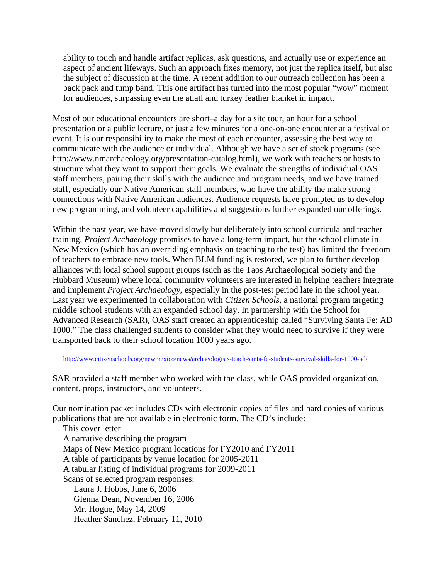ability to touch and handle artifact replicas, ask questions, and actually use or experience an aspect of ancient lifeways. Such an approach fixes memory, not just the replica itself, but also the subject of discussion at the time. A recent addition to our outreach collection has been a back pack and tump band. This one artifact has turned into the most popular "wow" moment for audiences, surpassing even the atlatl and turkey feather blanket in impact.

Most of our educational encounters are short–a day for a site tour, an hour for a school presentation or a public lecture, or just a few minutes for a one-on-one encounter at a festival or event. It is our responsibility to make the most of each encounter, assessing the best way to communicate with the audience or individual. Although we have a set of stock programs (see http://www.nmarchaeology.org/presentation-catalog.html), we work with teachers or hosts to structure what they want to support their goals. We evaluate the strengths of individual OAS staff members, pairing their skills with the audience and program needs, and we have trained staff, especially our Native American staff members, who have the ability the make strong connections with Native American audiences. Audience requests have prompted us to develop new programming, and volunteer capabilities and suggestions further expanded our offerings.

Within the past year, we have moved slowly but deliberately into school curricula and teacher training. *Project Archaeology* promises to have a long-term impact, but the school climate in New Mexico (which has an overriding emphasis on teaching to the test) has limited the freedom of teachers to embrace new tools. When BLM funding is restored, we plan to further develop alliances with local school support groups (such as the Taos Archaeological Society and the Hubbard Museum) where local community volunteers are interested in helping teachers integrate and implement *Project Archaeology*, especially in the post-test period late in the school year. Last year we experimented in collaboration with *Citizen Schools*, a national program targeting middle school students with an expanded school day. In partnership with the School for Advanced Research (SAR), OAS staff created an apprenticeship called "Surviving Santa Fe: AD 1000." The class challenged students to consider what they would need to survive if they were transported back to their school location 1000 years ago.

http://www.citizenschools.org/newmexico/news/archaeologists-teach-santa-fe-students-survival-skills-for-1000-ad/

SAR provided a staff member who worked with the class, while OAS provided organization, content, props, instructors, and volunteers.

Our nomination packet includes CDs with electronic copies of files and hard copies of various publications that are not available in electronic form. The CD's include:

 This cover letter A narrative describing the program Maps of New Mexico program locations for FY2010 and FY2011 A table of participants by venue location for 2005-2011 A tabular listing of individual programs for 2009-2011 Scans of selected program responses: Laura J. Hobbs, June 6, 2006 Glenna Dean, November 16, 2006 Mr. Hogue, May 14, 2009 Heather Sanchez, February 11, 2010